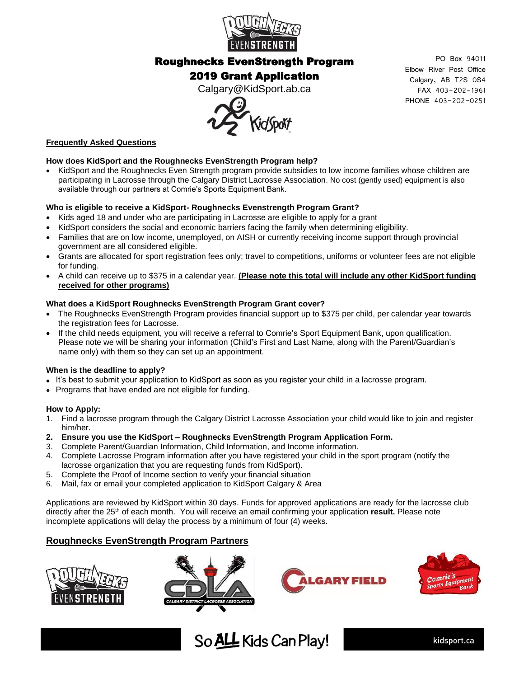

### Roughnecks EvenStrength Program

## 2019 Grant Application

Calgary@KidSport.ab.ca



## **Frequently Asked Questions**

#### **How does KidSport and the Roughnecks EvenStrength Program help?**

• KidSport and the Roughnecks Even Strength program provide subsidies to low income families whose children are participating in Lacrosse through the Calgary District Lacrosse Association. No cost (gently used) equipment is also available through our partners at Comrie's Sports Equipment Bank.

#### **Who is eligible to receive a KidSport- Roughnecks Evenstrength Program Grant?**

- Kids aged 18 and under who are participating in Lacrosse are eligible to apply for a grant
- KidSport considers the social and economic barriers facing the family when determining eligibility.
- Families that are on low income, unemployed, on AISH or currently receiving income support through provincial government are all considered eligible.
- Grants are allocated for sport registration fees only; travel to competitions, uniforms or volunteer fees are not eligible for funding.
- A child can receive up to \$375 in a calendar year. **(Please note this total will include any other KidSport funding received for other programs)**

#### **What does a KidSport Roughnecks EvenStrength Program Grant cover?**

- The Roughnecks EvenStrength Program provides financial support up to \$375 per child, per calendar year towards the registration fees for Lacrosse.
- If the child needs equipment, you will receive a referral to Comrie's Sport Equipment Bank, upon qualification. Please note we will be sharing your information (Child's First and Last Name, along with the Parent/Guardian's name only) with them so they can set up an appointment.

#### **When is the deadline to apply?**

- It's best to submit your application to KidSport as soon as you register your child in a lacrosse program.
- Programs that have ended are not eligible for funding.

#### **How to Apply:**

- 1. Find a lacrosse program through the Calgary District Lacrosse Association your child would like to join and register him/her.
- **2. Ensure you use the KidSport – Roughnecks EvenStrength Program Application Form.**
- 3. Complete Parent/Guardian Information, Child Information, and Income information.
- 4. Complete Lacrosse Program information after you have registered your child in the sport program (notify the lacrosse organization that you are requesting funds from KidSport).
- 5. Complete the Proof of Income section to verify your financial situation
- 6. Mail, fax or email your completed application to KidSport Calgary & Area

Applications are reviewed by KidSport within 30 days. Funds for approved applications are ready for the lacrosse club directly after the 25<sup>th</sup> of each month. You will receive an email confirming your application result. Please note incomplete applications will delay the process by a minimum of four (4) weeks.

#### **Roughnecks EvenStrength Program Partners**









kidsport.ca



PO Box 94011 Elbow River Post Office Calgary, AB T2S 0S4 FAX 403-202-1961 PHONE 403-202-0251